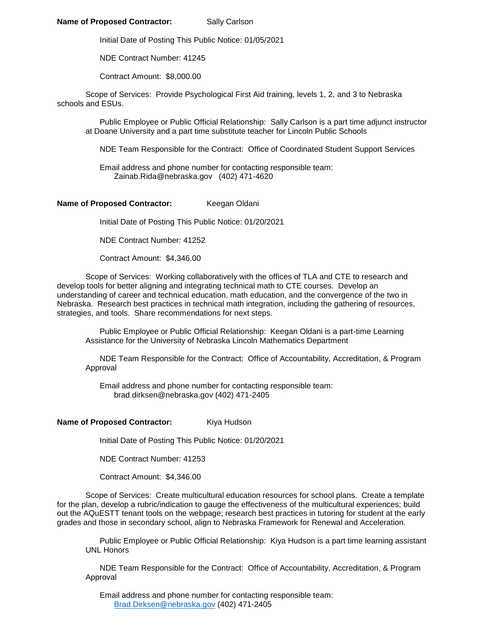## **Name of Proposed Contractor:** Sally Carlson

Initial Date of Posting This Public Notice: 01/05/2021

NDE Contract Number: 41245

Contract Amount: \$8,000.00

Scope of Services: Provide Psychological First Aid training, levels 1, 2, and 3 to Nebraska schools and ESUs.

Public Employee or Public Official Relationship: Sally Carlson is a part time adjunct instructor at Doane University and a part time substitute teacher for Lincoln Public Schools

NDE Team Responsible for the Contract: Office of Coordinated Student Support Services

Email address and phone number for contacting responsible team: Zainab.Rida@nebraska.gov (402) 471-4620

## Name of Proposed Contractor: Keegan Oldani

Initial Date of Posting This Public Notice: 01/20/2021

NDE Contract Number: 41252

Contract Amount: \$4,346.00

Scope of Services: Working collaboratively with the offices of TLA and CTE to research and develop tools for better aligning and integrating technical math to CTE courses. Develop an understanding of career and technical education, math education, and the convergence of the two in Nebraska. Research best practices in technical math integration, including the gathering of resources, strategies, and tools. Share recommendations for next steps.

Public Employee or Public Official Relationship: Keegan Oldani is a part-time Learning Assistance for the University of Nebraska Lincoln Mathematics Department

NDE Team Responsible for the Contract: Office of Accountability, Accreditation, & Program Approval

Email address and phone number for contacting responsible team: brad.dirksen@nebraska.gov (402) 471-2405

## **Name of Proposed Contractor:** Kiya Hudson

Initial Date of Posting This Public Notice: 01/20/2021

NDE Contract Number: 41253

Contract Amount: \$4,346.00

Scope of Services: Create multicultural education resources for school plans. Create a template for the plan, develop a rubric/indication to gauge the effectiveness of the multicultural experiences; build out the AQuESTT tenant tools on the webpage; research best practices in tutoring for student at the early grades and those in secondary school, align to Nebraska Framework for Renewal and Acceleration.

Public Employee or Public Official Relationship: Kiya Hudson is a part time learning assistant UNL Honors

NDE Team Responsible for the Contract: Office of Accountability, Accreditation, & Program Approval

Email address and phone number for contacting responsible team: [Brad.Dirksen@nebraska.gov](mailto:Brad.Dirksen@nebraska.gov) (402) 471-2405